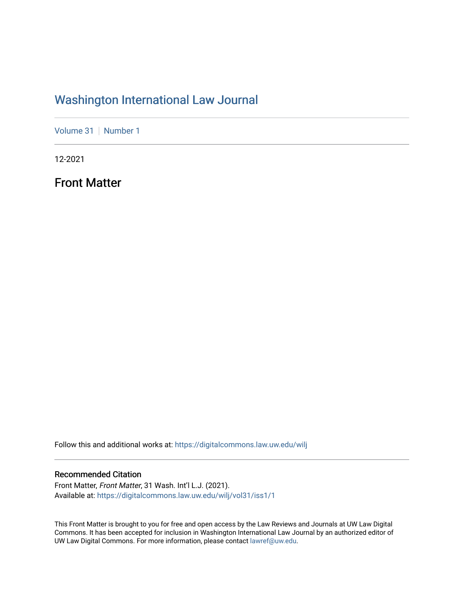## [Washington International Law Journal](https://digitalcommons.law.uw.edu/wilj)

[Volume 31](https://digitalcommons.law.uw.edu/wilj/vol31) | [Number 1](https://digitalcommons.law.uw.edu/wilj/vol31/iss1)

12-2021

Front Matter

Follow this and additional works at: [https://digitalcommons.law.uw.edu/wilj](https://digitalcommons.law.uw.edu/wilj?utm_source=digitalcommons.law.uw.edu%2Fwilj%2Fvol31%2Fiss1%2F1&utm_medium=PDF&utm_campaign=PDFCoverPages) 

#### Recommended Citation

Front Matter, Front Matter, 31 Wash. Int'l L.J. (2021). Available at: [https://digitalcommons.law.uw.edu/wilj/vol31/iss1/1](https://digitalcommons.law.uw.edu/wilj/vol31/iss1/1?utm_source=digitalcommons.law.uw.edu%2Fwilj%2Fvol31%2Fiss1%2F1&utm_medium=PDF&utm_campaign=PDFCoverPages) 

This Front Matter is brought to you for free and open access by the Law Reviews and Journals at UW Law Digital Commons. It has been accepted for inclusion in Washington International Law Journal by an authorized editor of UW Law Digital Commons. For more information, please contact [lawref@uw.edu](mailto:lawref@uw.edu).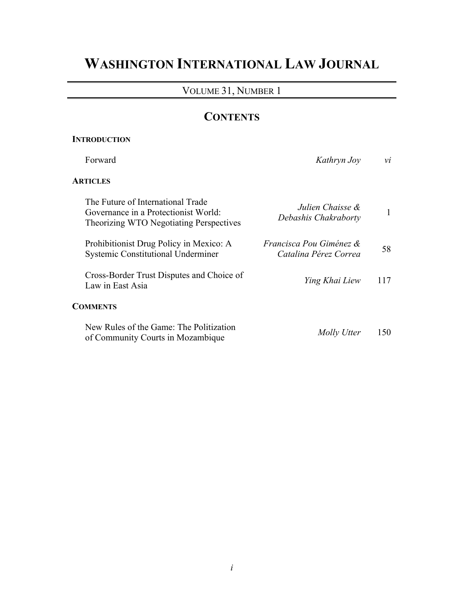# **WASHINGTON INTERNATIONAL LAW JOURNAL**

### VOLUME 31, NUMBER 1

## **CONTENTS**

### **INTRODUCTION**

| Forward                                                                                                              | Kathryn Joy                                                 | νi  |
|----------------------------------------------------------------------------------------------------------------------|-------------------------------------------------------------|-----|
| <b>ARTICLES</b>                                                                                                      |                                                             |     |
| The Future of International Trade<br>Governance in a Protectionist World:<br>Theorizing WTO Negotiating Perspectives | Julien Chaisse &<br>Debashis Chakraborty                    | 1   |
| Prohibitionist Drug Policy in Mexico: A<br><b>Systemic Constitutional Underminer</b>                                 | <i>Francisca Pou Giménez &amp;</i><br>Catalina Pérez Correa | 58. |
| Cross-Border Trust Disputes and Choice of<br>Law in East Asia                                                        | Ying Khai Liew                                              | 117 |
| <b>COMMENTS</b>                                                                                                      |                                                             |     |
| New Rules of the Game: The Politization<br>of Community Courts in Mozambique                                         | Molly Utter                                                 | 150 |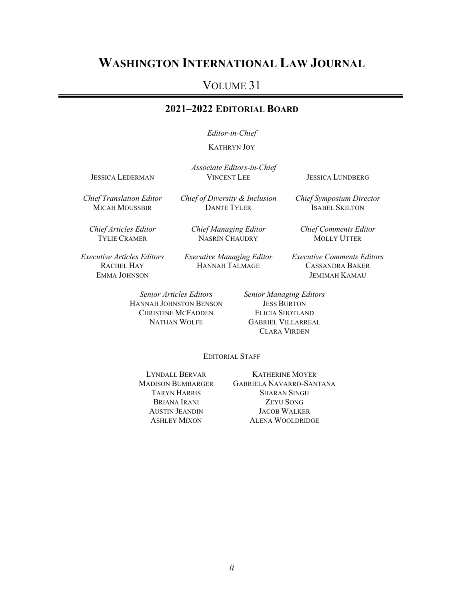## **WASHINGTON INTERNATIONAL LAW JOURNAL**

## VOLUME 31

#### **2021–2022 EDITORIAL BOARD**

*Editor-in-Chief*

KATHRYN JOY

*Associate Editors-in-Chief* JESSICA LEDERMAN VINCENT LEE JESSICA LUNDBERG

*Chief Symposium Director* ISABEL SKILTON

*Chief Translation Editor* MICAH MOUSSBIR

*Chief of Diversity & Inclusion* DANTE TYLER

*Chief Articles Editor* TYLIE CRAMER

*Chief Managing Editor* NASRIN CHAUDRY

*Chief Comments Editor* MOLLY UTTER

*Executive Articles Editors* RACHEL HAY EMMA JOHNSON

*Executive Managing Editor* HANNAH TALMAGE

*Executive Comments Editors* CASSANDRA BAKER JEMIMAH KAMAU

HANNAH JOHNSTON BENSON CHRISTINE MCFADDEN NATHAN WOLFE

*Senior Articles Editors Senior Managing Editors* **JESS BURTON** ELICIA SHOTLAND GABRIEL VILLARREAL CLARA VIRDEN

EDITORIAL STAFF

LYNDALL BERVAR MADISON BUMBARGER TARYN HARRIS BRIANA IRANI AUSTIN JEANDIN ASHLEY MIXON

KATHERINE MOYER GABRIELA NAVARRO-SANTANA SHARAN SINGH ZEYU SONG JACOB WALKER ALENA WOOLDRIDGE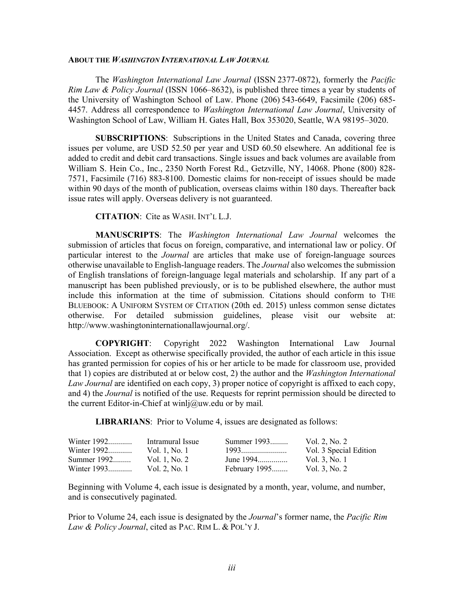#### **ABOUT THE** *WASHINGTON INTERNATIONAL LAW JOURNAL*

The *Washington International Law Journal* (ISSN 2377-0872), formerly the *Pacific Rim Law & Policy Journal* (ISSN 1066–8632), is published three times a year by students of the University of Washington School of Law. Phone (206) 543-6649, Facsimile (206) 685- 4457. Address all correspondence to *Washington International Law Journal*, University of Washington School of Law, William H. Gates Hall, Box 353020, Seattle, WA 98195–3020.

**SUBSCRIPTIONS**: Subscriptions in the United States and Canada, covering three issues per volume, are USD 52.50 per year and USD 60.50 elsewhere. An additional fee is added to credit and debit card transactions. Single issues and back volumes are available from William S. Hein Co., Inc., 2350 North Forest Rd., Getzville, NY, 14068. Phone (800) 828- 7571, Facsimile (716) 883-8100. Domestic claims for non-receipt of issues should be made within 90 days of the month of publication, overseas claims within 180 days. Thereafter back issue rates will apply. Overseas delivery is not guaranteed.

**CITATION**: Cite as WASH. INT'L L.J.

**MANUSCRIPTS**: The *Washington International Law Journal* welcomes the submission of articles that focus on foreign, comparative, and international law or policy. Of particular interest to the *Journal* are articles that make use of foreign-language sources otherwise unavailable to English-language readers. The *Journal* also welcomes the submission of English translations of foreign-language legal materials and scholarship. If any part of a manuscript has been published previously, or is to be published elsewhere, the author must include this information at the time of submission. Citations should conform to THE BLUEBOOK: A UNIFORM SYSTEM OF CITATION (20th ed. 2015) unless common sense dictates otherwise. For detailed submission guidelines, please visit our website at: http://www.washingtoninternationallawjournal.org/.

**COPYRIGHT**: Copyright 2022 Washington International Law Journal Association. Except as otherwise specifically provided, the author of each article in this issue has granted permission for copies of his or her article to be made for classroom use, provided that 1) copies are distributed at or below cost, 2) the author and the *Washington International Law Journal* are identified on each copy, 3) proper notice of copyright is affixed to each copy, and 4) the *Journal* is notified of the use. Requests for reprint permission should be directed to the current Editor-in-Chief at winlj@uw.edu or by mail*.*

**LIBRARIANS**: Prior to Volume 4, issues are designated as follows:

| Winter 1992 | Intramural Issue | Summer 1993   | Vol. 2, No. 2          |
|-------------|------------------|---------------|------------------------|
| Winter 1992 | Vol. 1, No. 1    | 1993          | Vol. 3 Special Edition |
| Summer 1992 | Vol. 1, No. 2    | June 1994     | Vol. 3, No. 1          |
| Winter 1993 | Vol. 2, No. 1    | February 1995 | Vol. 3, No. 2          |

Beginning with Volume 4, each issue is designated by a month, year, volume, and number, and is consecutively paginated.

Prior to Volume 24, each issue is designated by the *Journal*'s former name, the *Pacific Rim Law & Policy Journal*, cited as PAC. RIM L. & POL'Y J.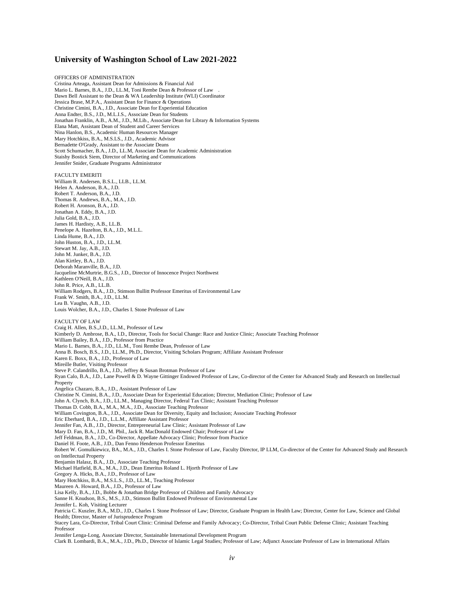#### **University of Washington School of Law 2021-2022**

OFFICERS OF ADMINISTRATION Cristina Arteaga, Assistant Dean for Admissions & Financial Aid Mario L. Barnes, B.A., J.D., LL.M, Toni Rembe Dean & Professor of Law . Dawn Bell Assistant to the Dean & WA Leadership Institute (WLI) Coordinator Jessica Brase, M.P.A., Assistant Dean for Finance & Operations Christine Cimini, B.A., J.D., Associate Dean for Experiential Education Anna Endter, B.S., J.D., M.L.I.S., Associate Dean for Students Jonathan Franklin, A.B., A.M., J.D., M.Lib., Associate Dean for Library & Information Systems Elana Matt, Assistant Dean of Student and Career Services Nina Hanlon, B.S., Academic Human Resources Manager Mary Hotchkiss, B.A., M.S.LS., J.D., Academic Advisor Bernadette O'Grady, Assistant to the Associate Deans Scott Schumacher, B.A., J.D., LL.M, Associate Dean for Academic Administration Staishy Bostick Siem, Director of Marketing and Communications Jennifer Snider, Graduate Programs Administrator FACULTY EMERITI William R. Andersen, B.S.L., LLB., LL.M. Helen A. Anderson, B.A., J.D. Robert T. Anderson, B.A., J.D. Thomas R. Andrews, B.A., M.A., J.D. Robert H. Aronson, B.A., J.D. Jonathan A. Eddy, B.A., J.D. Julia Gold, B.A., J.D. James H. Hardisty, A.B., LL.B. Penelope A. Hazelton, B.A., J.D., M.L.L. Linda Hume, B.A., J.D. John Huston, B.A., J.D., LL.M. Stewart M. Jay, A.B., J.D. John M. Junker, B.A., J.D. Alan Kirtley, B.A., J.D. Deborah Maranville, B.A., J.D. Jacqueline McMurtrie, B.G.S., J.D., Director of Innocence Project Northwest Kathleen O'Neill, B.A., J.D. John R. Price, A.B., LL.B. William Rodgers, B.A., J.D., Stimson Bullitt Professor Emeritus of Environmental Law Frank W. Smith, B.A., J.D., LL.M. Lea B. Vaughn, A.B., J.D. Louis Wolcher, B.A., J.D., Charles I. Stone Professor of Law FACULTY OF LAW Craig H. Allen, B.S.,J.D., LL.M., Professor of Lew Kimberly D. Ambrose, B.A., I.D., Director, Tools for Social Change: Race and Justice Clinic; Associate Teaching Professor William Bailey, B.A., J.D., Professor from Practice Mario L. Barnes, B.A., J.D., LL.M., Toni Rembe Dean, Professor of Law Anna B. Bosch, B.S., J.D., LL.M., Ph.D., Director, Visiting Scholars Program; Affiliate Assistant Professor Karen E. Boxx, B.A., J.D., Professor of Law Mireille Butler, Visiting Professor Steve P. Calandrillo, B.A., J.D., Jeffrey & Susan Brotman Professor of Law Ryan Calo, B.A., J.D., Lane Powell & D. Wayne Gittinger Endowed Professor of Law, Co-director of the Center for Advanced Study and Research on Intellectual Property Angelica Chazaro, B.A., J.D., Assistant Professor of Law Christine N. Cimini, B.A., J.D., Associate Dean for Experiential Education; Director, Mediation Clinic; Professor of Law John A. Clynch, B.A., J.D., LL.M., Managing Director, Federal Tax Clinic; Assistant Teaching Professor Thomas D. Cobb, B.A., M.A., M.A., J.D., Associate Teaching Professor William Covington, B.A., J.D., Associate Dean for Diversity, Equity and Inclusion; Associate Teaching Professor Eric Eberhard, B.A., J.D., L.L.M., Affiliate Assistant Professor Jennifer Fan, A.B., J.D., Director, Entrepreneurial Law Clinic; Assistant Professor of Law Mary D. Fan, B.A., J.D., M. Pbil., Jack R. MacDonald Endowed Chair; Professor of Law Jeff Feldman, B.A., J.D., Co-Director, Appellate Advocacy Clinic; Professor from Practice Daniel H. Foote, A.B., J.D., Dan Fenno Henderson Professor Emeritus Robert W. Gomulkiewicz, BA., M.A., J.D., Charles I. Stone Professor of Law, Faculty Director, IP LLM, Co-director of the Center for Advanced Study and Research on Intellectual Property Benjamin Halasz, B.A., J.D., Associate Teaching Professor Michael Hatfield, B.A., M.A., J.D., Dean Emeritus Roland L. Hjorth Professor of Law Gregory A. Hicks, B.A., J.D., Professor of Law Mary Hotchkiss, B.A., M.S.L.S., J.D., LL.M., Teaching Professor Maureen A. Howard, B.A., J.D., Professor of Law Lisa Kelly, B.A., J.D., Bobbe & Jonathan Bridge Professor of Children and Family Advocacy Sanne H. Knudson, B.S., M.S., J.D., Stimson Bullitt Endowed Professor of Environmental Law Jennifer L. Koh, Visiting Lecturer Patricia C. Kuszler, B.A., M.D., J.D., Charles I. Stone Professor of Law; Director, Graduate Program in Health Law; Director, Center for Law, Science and Global Health; Director, Master of Jurisprudence Program Stacey Lara, Co-Director, Tribal Court Clinic: Criminal Defense and Family Advocacy; Co-Director, Tribal Court Public Defense Clinic; Assistant Teaching Professor Jennifer Lenga-Long, Associate Director, Sustainable International Development Program Clark B. Lombardi, B.A., M.A., J.D., Ph.D., Director of Islamic Legal Studies; Professor of Law; Adjunct Associate Professor of Law in International Affairs